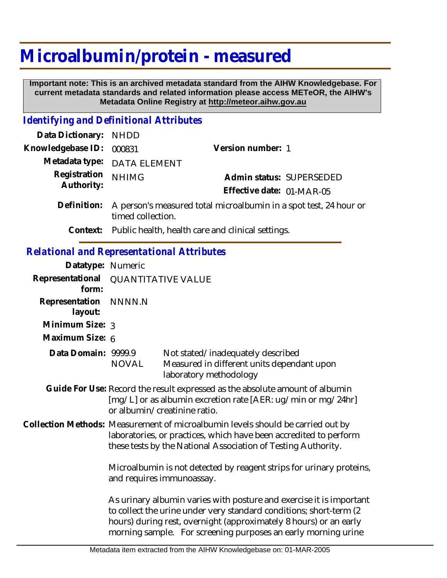## **Microalbumin/protein - measured**

 **Important note: This is an archived metadata standard from the AIHW Knowledgebase. For current metadata standards and related information please access METeOR, the AIHW's Metadata Online Registry at http://meteor.aihw.gov.au**

## *Identifying and Definitional Attributes*

| Data Dictionary:                                  | <b>NHDD</b>                                                                                                                                                                  |                                                                                                                                                                                                                                                                                 |  |
|---------------------------------------------------|------------------------------------------------------------------------------------------------------------------------------------------------------------------------------|---------------------------------------------------------------------------------------------------------------------------------------------------------------------------------------------------------------------------------------------------------------------------------|--|
| Knowledgebase ID:                                 | 000831                                                                                                                                                                       | Version number: 1                                                                                                                                                                                                                                                               |  |
| Metadata type:                                    | <b>DATA ELEMENT</b>                                                                                                                                                          |                                                                                                                                                                                                                                                                                 |  |
| Registration<br>Authority:                        | <b>NHIMG</b>                                                                                                                                                                 | Admin status: SUPERSEDED<br>Effective date: 01-MAR-05                                                                                                                                                                                                                           |  |
| Definition:                                       | A person's measured total microalbumin in a spot test, 24 hour or<br>timed collection.                                                                                       |                                                                                                                                                                                                                                                                                 |  |
| Context:                                          | Public health, health care and clinical settings.                                                                                                                            |                                                                                                                                                                                                                                                                                 |  |
| <b>Relational and Representational Attributes</b> |                                                                                                                                                                              |                                                                                                                                                                                                                                                                                 |  |
| Datatype: Numeric                                 |                                                                                                                                                                              |                                                                                                                                                                                                                                                                                 |  |
| Representational<br>form:                         | <b>QUANTITATIVE VALUE</b>                                                                                                                                                    |                                                                                                                                                                                                                                                                                 |  |
| Representation<br>layout:                         | NNNN.N                                                                                                                                                                       |                                                                                                                                                                                                                                                                                 |  |
| Minimum Size: 3                                   |                                                                                                                                                                              |                                                                                                                                                                                                                                                                                 |  |
| Maximum Size: 6                                   |                                                                                                                                                                              |                                                                                                                                                                                                                                                                                 |  |
| Data Domain: 9999.9                               | <b>NOVAL</b>                                                                                                                                                                 | Not stated/inadequately described<br>Measured in different units dependant upon<br>laboratory methodology                                                                                                                                                                       |  |
|                                                   | Guide For Use: Record the result expressed as the absolute amount of albumin<br>[mg/L] or as albumin excretion rate [AER: ug/min or mg/24hr]<br>or albumin/creatinine ratio. |                                                                                                                                                                                                                                                                                 |  |
|                                                   |                                                                                                                                                                              | Collection Methods: Measurement of microalbumin levels should be carried out by<br>laboratories, or practices, which have been accredited to perform<br>these tests by the National Association of Testing Authority.                                                           |  |
|                                                   | Microalbumin is not detected by reagent strips for urinary proteins,<br>and requires immunoassay.                                                                            |                                                                                                                                                                                                                                                                                 |  |
|                                                   |                                                                                                                                                                              | As urinary albumin varies with posture and exercise it is important<br>to collect the urine under very standard conditions; short-term (2<br>hours) during rest, overnight (approximately 8 hours) or an early<br>morning sample. For screening purposes an early morning urine |  |